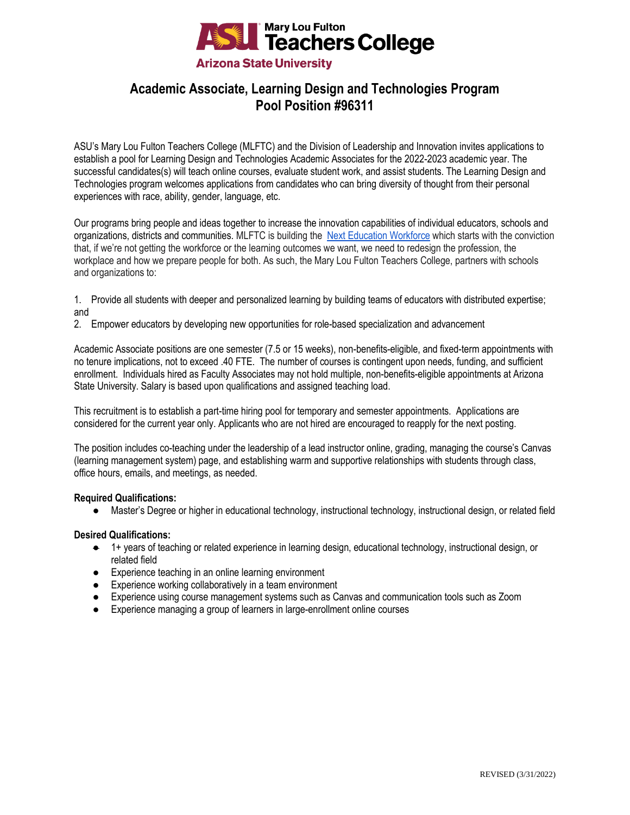

# **Academic Associate, Learning Design and Technologies Program Pool Position #96311**

ASU's Mary Lou Fulton Teachers College (MLFTC) and the Division of Leadership and Innovation invites applications to establish a pool for Learning Design and Technologies Academic Associates for the 2022-2023 academic year. The successful candidates(s) will teach online courses, evaluate student work, and assist students. The Learning Design and Technologies program welcomes applications from candidates who can bring diversity of thought from their personal experiences with race, ability, gender, language, etc.

Our programs bring people and ideas together to increase the innovation capabilities of individual educators, schools and organizations, districts and communities. MLFTC is building the [Next Education Workforce](https://workforce.education.asu.edu/?utm_source=mlftc&utm_medium=redirect&utm_campaign=top_nav) which starts with the conviction that, if we're not getting the workforce or the learning outcomes we want, we need to redesign the profession, the workplace and how we prepare people for both. As such, the Mary Lou Fulton Teachers College, partners with schools and organizations to:

- 1. Provide all students with deeper and personalized learning by building teams of educators with distributed expertise; and
- 2. Empower educators by developing new opportunities for role-based specialization and advancement

Academic Associate positions are one semester (7.5 or 15 weeks), non-benefits-eligible, and fixed-term appointments with no tenure implications, not to exceed .40 FTE. The number of courses is contingent upon needs, funding, and sufficient enrollment. Individuals hired as Faculty Associates may not hold multiple, non-benefits-eligible appointments at Arizona State University. Salary is based upon qualifications and assigned teaching load.

This recruitment is to establish a part-time hiring pool for temporary and semester appointments. Applications are considered for the current year only. Applicants who are not hired are encouraged to reapply for the next posting.

The position includes co-teaching under the leadership of a lead instructor online, grading, managing the course's Canvas (learning management system) page, and establishing warm and supportive relationships with students through class, office hours, emails, and meetings, as needed.

## **Required Qualifications:**

● Master's Degree or higher in educational technology, instructional technology, instructional design, or related field

## **Desired Qualifications:**

- 1+ years of teaching or related experience in learning design, educational technology, instructional design, or related field
- Experience teaching in an online learning environment
- Experience working collaboratively in a team environment
- Experience using course management systems such as Canvas and communication tools such as Zoom
- Experience managing a group of learners in large-enrollment online courses